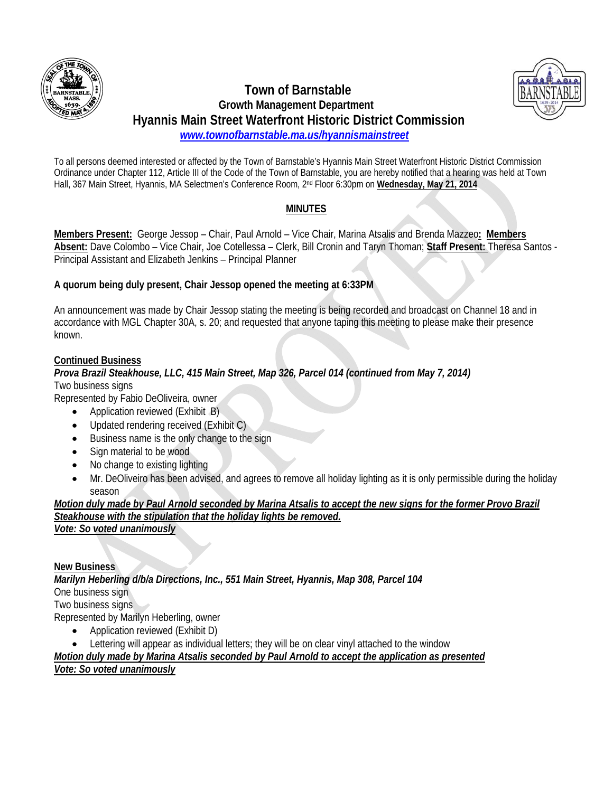

## **Town of Barnstable Growth Management Department Hyannis Main Street Waterfront Historic District Commission**   *www.townofbarnstable.ma.us/hyannismainstreet*



To all persons deemed interested or affected by the Town of Barnstable's Hyannis Main Street Waterfront Historic District Commission Ordinance under Chapter 112, Article III of the Code of the Town of Barnstable, you are hereby notified that a hearing was held at Town Hall, 367 Main Street, Hyannis, MA Selectmen's Conference Room, 2nd Floor 6:30pm on **Wednesday, May 21, 2014**

# **MINUTES**

**Members Present:** George Jessop – Chair, Paul Arnold – Vice Chair, Marina Atsalis and Brenda Mazzeo**: Members Absent:** Dave Colombo – Vice Chair, Joe Cotellessa – Clerk, Bill Cronin and Taryn Thoman; **Staff Present:** Theresa Santos - Principal Assistant and Elizabeth Jenkins – Principal Planner

# **A quorum being duly present, Chair Jessop opened the meeting at 6:33PM**

An announcement was made by Chair Jessop stating the meeting is being recorded and broadcast on Channel 18 and in accordance with MGL Chapter 30A, s. 20; and requested that anyone taping this meeting to please make their presence known.

## **Continued Business**

# *Prova Brazil Steakhouse, LLC, 415 Main Street, Map 326, Parcel 014 (continued from May 7, 2014)*

Two business signs

Represented by Fabio DeOliveira, owner

- Application reviewed (Exhibit B)
- Updated rendering received (Exhibit C)
- Business name is the only change to the sign
- Sign material to be wood
- No change to existing lighting
- Mr. DeOliveiro has been advised, and agrees to remove all holiday lighting as it is only permissible during the holiday season

*Motion duly made by Paul Arnold seconded by Marina Atsalis to accept the new signs for the former Provo Brazil Steakhouse with the stipulation that the holiday lights be removed. Vote: So voted unanimously* 

**New Business**

*Marilyn Heberling d/b/a Directions, Inc., 551 Main Street, Hyannis, Map 308, Parcel 104*  One business sign Two business signs

Represented by Marilyn Heberling, owner

- Application reviewed (Exhibit D)
- Lettering will appear as individual letters; they will be on clear vinyl attached to the window

*Motion duly made by Marina Atsalis seconded by Paul Arnold to accept the application as presented*

#### *Vote: So voted unanimously*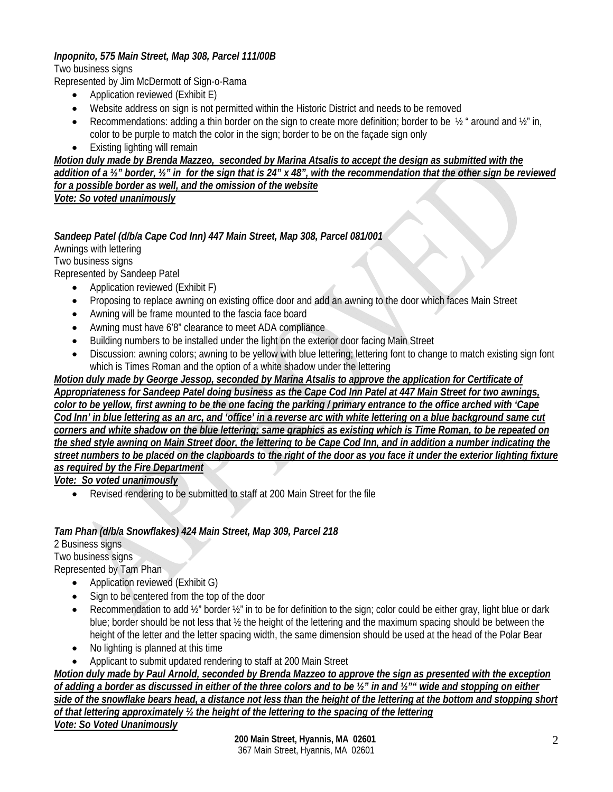## *Inpopnito, 575 Main Street, Map 308, Parcel 111/00B*

Two business signs

Represented by Jim McDermott of Sign-o-Rama

- Application reviewed (Exhibit E)
- Website address on sign is not permitted within the Historic District and needs to be removed
- Recommendations: adding a thin border on the sign to create more definition; border to be  $\frac{1}{2}$  " around and  $\frac{1}{2}$ " in, color to be purple to match the color in the sign; border to be on the façade sign only
- Existing lighting will remain

*Motion duly made by Brenda Mazzeo, seconded by Marina Atsalis to accept the design as submitted with the addition of a ½" border, ½" in for the sign that is 24" x 48", with the recommendation that the other sign be reviewed for a possible border as well, and the omission of the website Vote: So voted unanimously* 

## *Sandeep Patel (d/b/a Cape Cod Inn) 447 Main Street, Map 308, Parcel 081/001*

Awnings with lettering Two business signs Represented by Sandeep Patel

- Application reviewed (Exhibit F)
- Proposing to replace awning on existing office door and add an awning to the door which faces Main Street
- Awning will be frame mounted to the fascia face board
- Awning must have 6'8" clearance to meet ADA compliance
- Building numbers to be installed under the light on the exterior door facing Main Street
- Discussion: awning colors; awning to be yellow with blue lettering; lettering font to change to match existing sign font which is Times Roman and the option of a white shadow under the lettering

#### *Motion duly made by George Jessop, seconded by Marina Atsalis to approve the application for Certificate of Appropriateness for Sandeep Patel doing business as the Cape Cod Inn Patel at 447 Main Street for two awnings, color to be yellow, first awning to be the one facing the parking / primary entrance to the office arched with 'Cape Cod Inn' in blue lettering as an arc, and 'office' in a reverse arc with white lettering on a blue background same cut corners and white shadow on the blue lettering; same graphics as existing which is Time Roman, to be repeated on the shed style awning on Main Street door, the lettering to be Cape Cod Inn, and in addition a number indicating the street numbers to be placed on the clapboards to the right of the door as you face it under the exterior lighting fixture as required by the Fire Department*

*Vote: So voted unanimously* 

Revised rendering to be submitted to staff at 200 Main Street for the file

#### *Tam Phan (d/b/a Snowflakes) 424 Main Street, Map 309, Parcel 218*

2 Business signs

Two business signs

Represented by Tam Phan

- Application reviewed (Exhibit G)
- Sign to be centered from the top of the door
- Recommendation to add  $\frac{1}{2}$ " border  $\frac{1}{2}$ " in to be for definition to the sign; color could be either gray, light blue or dark blue; border should be not less that ½ the height of the lettering and the maximum spacing should be between the height of the letter and the letter spacing width, the same dimension should be used at the head of the Polar Bear
- No lighting is planned at this time
- Applicant to submit updated rendering to staff at 200 Main Street

*Motion duly made by Paul Arnold, seconded by Brenda Mazzeo to approve the sign as presented with the exception of adding a border as discussed in either of the three colors and to be ½" in and ½"" wide and stopping on either side of the snowflake bears head, a distance not less than the height of the lettering at the bottom and stopping short of that lettering approximately ½ the height of the lettering to the spacing of the lettering*

*Vote: So Voted Unanimously*